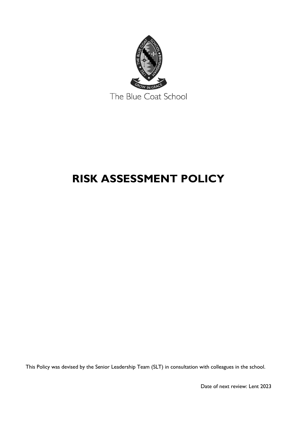

# **RISK ASSESSMENT POLICY**

This Policy was devised by the Senior Leadership Team (SLT) in consultation with colleagues in the school.

Date of next review: Lent 2023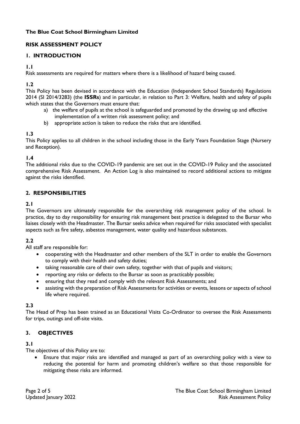## **The Blue Coat School Birmingham Limited**

## **RISK ASSESSMENT POLICY**

## **1. INTRODUCTION**

**1.1**

Risk assessments are required for matters where there is a likelihood of hazard being caused.

**1.2**

This Policy has been devised in accordance with the Education (Independent School Standards) Regulations 2014 (SI 2014/3283) (the **ISSRs**) and in particular, in relation to Part 3: Welfare, health and safety of pupils which states that the Governors must ensure that:

- a) the welfare of pupils at the school is safeguarded and promoted by the drawing up and effective implementation of a written risk assessment policy; and
- b) appropriate action is taken to reduce the risks that are identified.

## **1.3**

This Policy applies to all children in the school including those in the Early Years Foundation Stage (Nursery and Reception).

#### **1.4**

The additional risks due to the COVID-19 pandemic are set out in the COVID-19 Policy and the associated comprehensive Risk Assessment. An Action Log is also maintained to record additional actions to mitigate against the risks identified.

## **2. RESPONSIBILITIES**

## **2.1**

The Governors are ultimately responsible for the overarching risk management policy of the school. In practice, day to day responsibility for ensuring risk management best practice is delegated to the Bursar who liaises closely with the Headmaster. The Bursar seeks advice when required for risks associated with specialist aspects such as fire safety, asbestos management, water quality and hazardous substances.

## **2.2**

All staff are responsible for:

- cooperating with the Headmaster and other members of the SLT in order to enable the Governors to comply with their health and safety duties;
- taking reasonable care of their own safety, together with that of pupils and visitors;
- reporting any risks or defects to the Bursar as soon as practicably possible;
- ensuring that they read and comply with the relevant Risk Assessments; and
- assisting with the preparation of Risk Assessments for activities or events, lessons or aspects of school life where required.

#### **2.3**

The Head of Prep has been trained as an Educational Visits Co-Ordinator to oversee the Risk Assessments for trips, outings and off-site visits.

## **3. OBJECTIVES**

#### **3.1**

The objectives of this Policy are to:

• Ensure that major risks are identified and managed as part of an overarching policy with a view to reducing the potential for harm and promoting children's welfare so that those responsible for mitigating these risks are informed.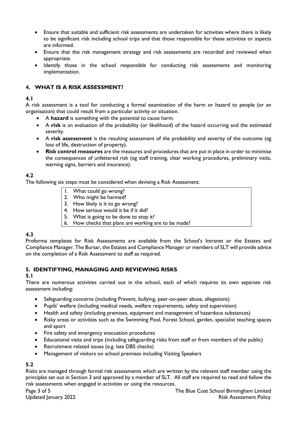- Ensure that suitable and sufficient risk assessments are undertaken for activities where there is likely to be significant risk including school trips and that those responsible for these activities or aspects are informed.
- Ensure that the risk management strategy and risk assessments are recorded and reviewed when appropriate.
- Identify those in the school responsible for conducting risk assessments and monitoring implementation.

## **4. WHAT IS A RISK ASSESSMENT?**

#### **4.1**

A risk assessment is a tool for conducting a formal examination of the harm or hazard to people (or an organisation) that could result from a particular activity or situation.

- A **hazard** is something with the potential to cause harm.
- A **risk** is an evaluation of the probability (or likelihood) of the hazard occurring and the estimated severity.
- A **risk assessment** is the resulting assessment of the probability and severity of the outcome (eg loss of life, destruction of property).
- **Risk control measures** are the measures and procedures that are put in place in order to minimise the consequences of unfettered risk (eg staff training, clear working procedures, preliminary visits, warning signs, barriers and insurance).

## **4.2**

The following six steps must be considered when devising a Risk Assessment:

- 1. What could go wrong?
- 2. Who might be harmed?
- 3. How likely is it to go wrong?
- 4. How serious would it be if it did?
- 5. What is going to be done to stop it?
- 6. How checks that plans are working are to be made?

#### **4.3**

Proforma templates for Risk Assessments are available from the School's Intranet or the Estates and Compliance Manager. The Bursar, the Estates and Compliance Manager or members of SLT will provide advice on the completion of a Risk Assessment to staff as required.

#### **5. IDENTIFYING, MANAGING AND REVIEWING RISKS**

#### **5.1**

There are numerous activities carried out in the school, each of which requires its own separate risk assessment including:

- Safeguarding concerns (including Prevent, bullying, peer-on-peer abuse, allegations)
- Pupils' welfare (including medical needs, welfare requirements, safety and supervision)
- Health and safety (including premises, equipment and management of hazardous substances)
- Risky areas or activities such as the Swimming Pool, Forest School, garden, specialist teaching spaces and sport
- Fire safety and emergency evacuation procedures
- Educational visits and trips (including safeguarding risks from staff or from members of the public)
- Recruitment related issues (e.g. late DBS checks)
- Management of visitors on school premises including Visiting Speakers

# **5.2**

Risks are managed through formal risk assessments which are written by the relevant staff member using the principles set out in Section 3 and approved by a member of SLT. All staff are required to read and follow the risk assessments when engaged in activities or using the resources.

Page 3 of 5 The Blue Coat School Birmingham Limited Updated January 2022 **Risk Assessment Policy** Risk Assessment Policy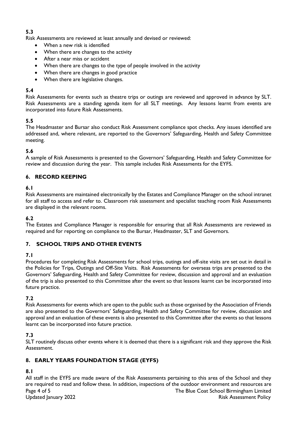## **5.3**

Risk Assessments are reviewed at least annually and devised or reviewed:

- When a new risk is identified
- When there are changes to the activity
- After a near miss or accident
- When there are changes to the type of people involved in the activity
- When there are changes in good practice
- When there are legislative changes.

#### **5.4**

Risk Assessments for events such as theatre trips or outings are reviewed and approved in advance by SLT. Risk Assessments are a standing agenda item for all SLT meetings. Any lessons learnt from events are incorporated into future Risk Assessments.

## **5.5**

The Headmaster and Bursar also conduct Risk Assessment compliance spot checks. Any issues identified are addressed and, where relevant, are reported to the Governors' Safeguarding, Health and Safety Committee meeting.

## **5.6**

A sample of Risk Assessments is presented to the Governors' Safeguarding, Health and Safety Committee for review and discussion during the year. This sample includes Risk Assessments for the EYFS.

#### **6. RECORD KEEPING**

#### **6.1**

Risk Assessments are maintained electronically by the Estates and Compliance Manager on the school intranet for all staff to access and refer to. Classroom risk assessment and specialist teaching room Risk Assessments are displayed in the relevant rooms.

#### **6.2**

The Estates and Compliance Manager is responsible for ensuring that all Risk Assessments are reviewed as required and for reporting on compliance to the Bursar, Headmaster, SLT and Governors.

#### **7. SCHOOL TRIPS AND OTHER EVENTS**

#### **7.1**

Procedures for completing Risk Assessments for school trips, outings and off-site visits are set out in detail in the Policies for Trips, Outings and Off-Site Visits. Risk Assessments for overseas trips are presented to the Governors' Safeguarding, Health and Safety Committee for review, discussion and approval and an evaluation of the trip is also presented to this Committee after the event so that lessons learnt can be incorporated into future practice.

## **7.2**

Risk Assessments for events which are open to the public such as those organised by the Association of Friends are also presented to the Governors' Safeguarding, Health and Safety Committee for review, discussion and approval and an evaluation of these events is also presented to this Committee after the events so that lessons learnt can be incorporated into future practice.

#### **7.3**

SLT routinely discuss other events where it is deemed that there is a significant risk and they approve the Risk Assessment.

## **8. EARLY YEARS FOUNDATION STAGE (EYFS)**

## **8.1**

Page 4 of 5 The Blue Coat School Birmingham Limited Updated January 2022 Risk Assessment Policy All staff in the EYFS are made aware of the Risk Assessments pertaining to this area of the School and they are required to read and follow these. In addition, inspections of the outdoor environment and resources are